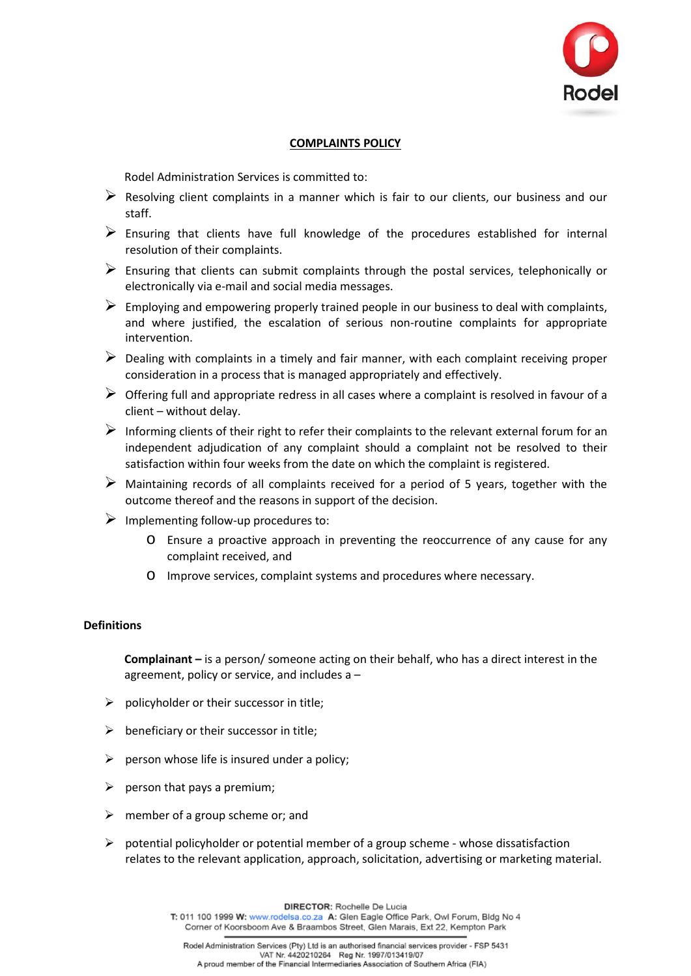

### **COMPLAINTS POLICY**

Rodel Administration Services is committed to:

- $\triangleright$  Resolving client complaints in a manner which is fair to our clients, our business and our staff.
- $\triangleright$  Ensuring that clients have full knowledge of the procedures established for internal resolution of their complaints.
- $\triangleright$  Ensuring that clients can submit complaints through the postal services, telephonically or electronically via e-mail and social media messages.
- $\triangleright$  Employing and empowering properly trained people in our business to deal with complaints, and where justified, the escalation of serious non-routine complaints for appropriate intervention.
- $\triangleright$  Dealing with complaints in a timely and fair manner, with each complaint receiving proper consideration in a process that is managed appropriately and effectively.
- $\triangleright$  Offering full and appropriate redress in all cases where a complaint is resolved in favour of a client – without delay.
- $\triangleright$  Informing clients of their right to refer their complaints to the relevant external forum for an independent adjudication of any complaint should a complaint not be resolved to their satisfaction within four weeks from the date on which the complaint is registered.
- $\triangleright$  Maintaining records of all complaints received for a period of 5 years, together with the outcome thereof and the reasons in support of the decision.
- $\triangleright$  Implementing follow-up procedures to:
	- o Ensure a proactive approach in preventing the reoccurrence of any cause for any complaint received, and
	- o Improve services, complaint systems and procedures where necessary.

### **Definitions**

**Complainant –** is a person/ someone acting on their behalf, who has a direct interest in the agreement, policy or service, and includes a –

- $\triangleright$  policyholder or their successor in title;
- $\triangleright$  beneficiary or their successor in title;
- $\triangleright$  person whose life is insured under a policy:
- $\triangleright$  person that pays a premium;
- $\triangleright$  member of a group scheme or; and
- $\triangleright$  potential policyholder or potential member of a group scheme whose dissatisfaction relates to the relevant application, approach, solicitation, advertising or marketing material.

DIRECTOR: Rochelle De Lucia

T: 011 100 1999 W: www.rodelsa.co.za A: Glen Eagle Office Park, Owl Forum, Bldg No 4 Corner of Koorsboom Ave & Braambos Street, Glen Marais, Ext 22, Kempton Park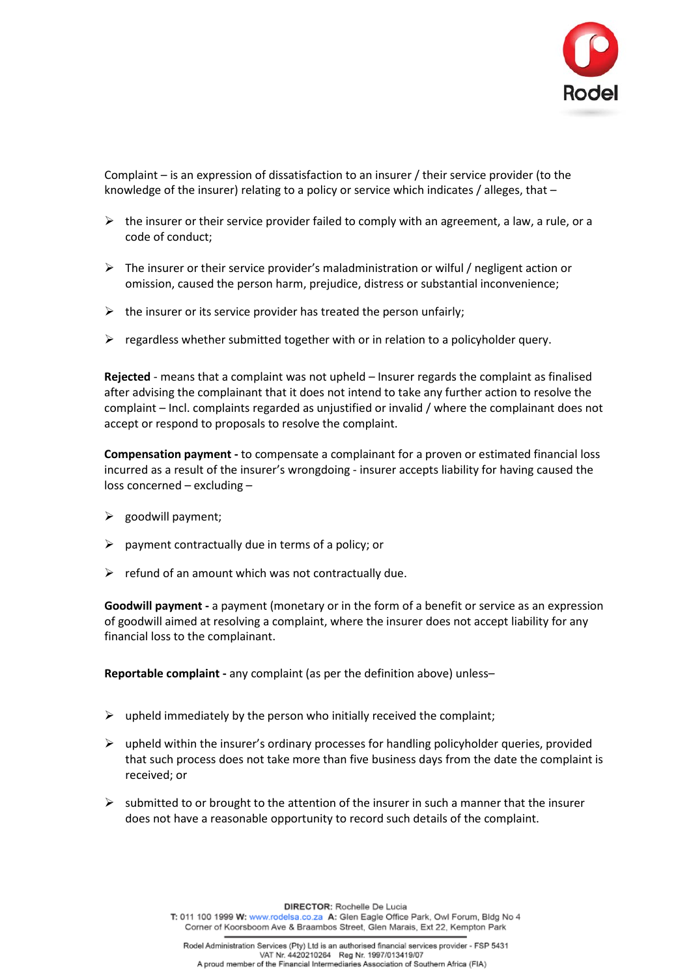

Complaint – is an expression of dissatisfaction to an insurer / their service provider (to the knowledge of the insurer) relating to a policy or service which indicates / alleges, that –

- $\triangleright$  the insurer or their service provider failed to comply with an agreement, a law, a rule, or a code of conduct;
- $\triangleright$  The insurer or their service provider's maladministration or wilful / negligent action or omission, caused the person harm, prejudice, distress or substantial inconvenience;
- $\triangleright$  the insurer or its service provider has treated the person unfairly;
- $\triangleright$  regardless whether submitted together with or in relation to a policyholder query.

**Rejected** - means that a complaint was not upheld – Insurer regards the complaint as finalised after advising the complainant that it does not intend to take any further action to resolve the complaint – Incl. complaints regarded as unjustified or invalid / where the complainant does not accept or respond to proposals to resolve the complaint.

**Compensation payment -** to compensate a complainant for a proven or estimated financial loss incurred as a result of the insurer's wrongdoing - insurer accepts liability for having caused the loss concerned – excluding –

- $\triangleright$  goodwill payment:
- $\triangleright$  payment contractually due in terms of a policy; or
- $\triangleright$  refund of an amount which was not contractually due.

**Goodwill payment -** a payment (monetary or in the form of a benefit or service as an expression of goodwill aimed at resolving a complaint, where the insurer does not accept liability for any financial loss to the complainant.

**Reportable complaint -** any complaint (as per the definition above) unless–

- $\triangleright$  upheld immediately by the person who initially received the complaint;
- $\triangleright$  upheld within the insurer's ordinary processes for handling policyholder queries, provided that such process does not take more than five business days from the date the complaint is received; or
- $\triangleright$  submitted to or brought to the attention of the insurer in such a manner that the insurer does not have a reasonable opportunity to record such details of the complaint.

DIRECTOR: Rochelle De Lucia

T: 011 100 1999 W: www.rodelsa.co.za A: Glen Eagle Office Park, Owl Forum, Bldg No 4 Corner of Koorsboom Ave & Braambos Street, Glen Marais, Ext 22, Kempton Park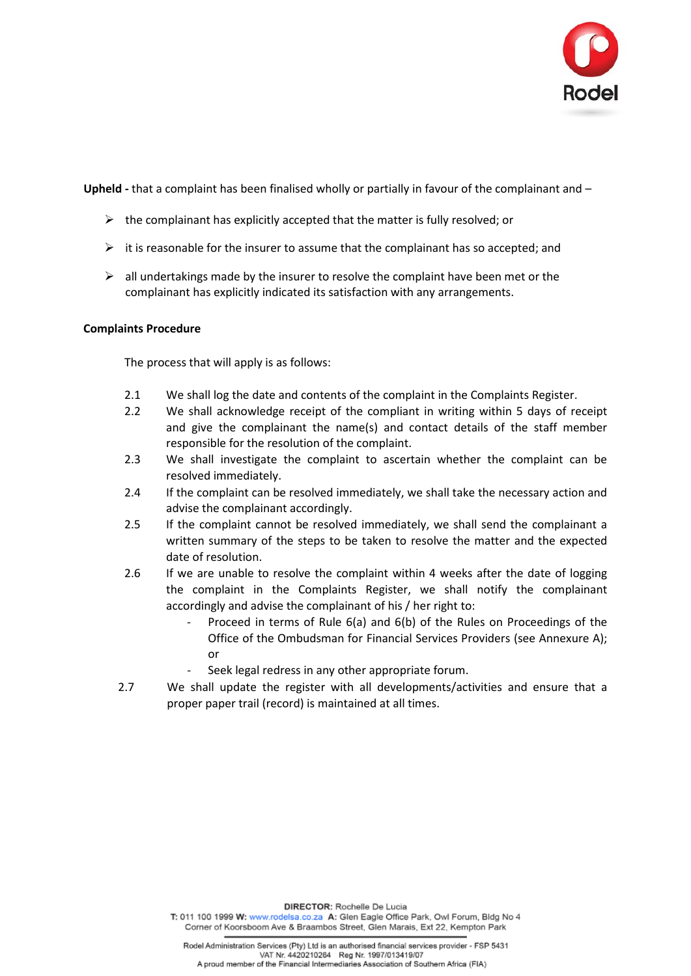

**Upheld -** that a complaint has been finalised wholly or partially in favour of the complainant and –

- $\triangleright$  the complainant has explicitly accepted that the matter is fully resolved; or
- $\triangleright$  it is reasonable for the insurer to assume that the complainant has so accepted; and
- $\triangleright$  all undertakings made by the insurer to resolve the complaint have been met or the complainant has explicitly indicated its satisfaction with any arrangements.

### **Complaints Procedure**

The process that will apply is as follows:

- 2.1 We shall log the date and contents of the complaint in the Complaints Register.
- 2.2 We shall acknowledge receipt of the compliant in writing within 5 days of receipt and give the complainant the name(s) and contact details of the staff member responsible for the resolution of the complaint.
- 2.3 We shall investigate the complaint to ascertain whether the complaint can be resolved immediately.
- 2.4 If the complaint can be resolved immediately, we shall take the necessary action and advise the complainant accordingly.
- 2.5 If the complaint cannot be resolved immediately, we shall send the complainant a written summary of the steps to be taken to resolve the matter and the expected date of resolution.
- 2.6 If we are unable to resolve the complaint within 4 weeks after the date of logging the complaint in the Complaints Register, we shall notify the complainant accordingly and advise the complainant of his / her right to:
	- Proceed in terms of Rule 6(a) and 6(b) of the Rules on Proceedings of the Office of the Ombudsman for Financial Services Providers (see Annexure A); or
		- Seek legal redress in any other appropriate forum.
- 2.7 We shall update the register with all developments/activities and ensure that a proper paper trail (record) is maintained at all times.

DIRECTOR: Rochelle De Lucia

T: 011 100 1999 W: www.rodelsa.co.za A: Glen Eagle Office Park, Owl Forum, Bldg No 4 Corner of Koorsboom Ave & Braambos Street, Glen Marais, Ext 22, Kempton Park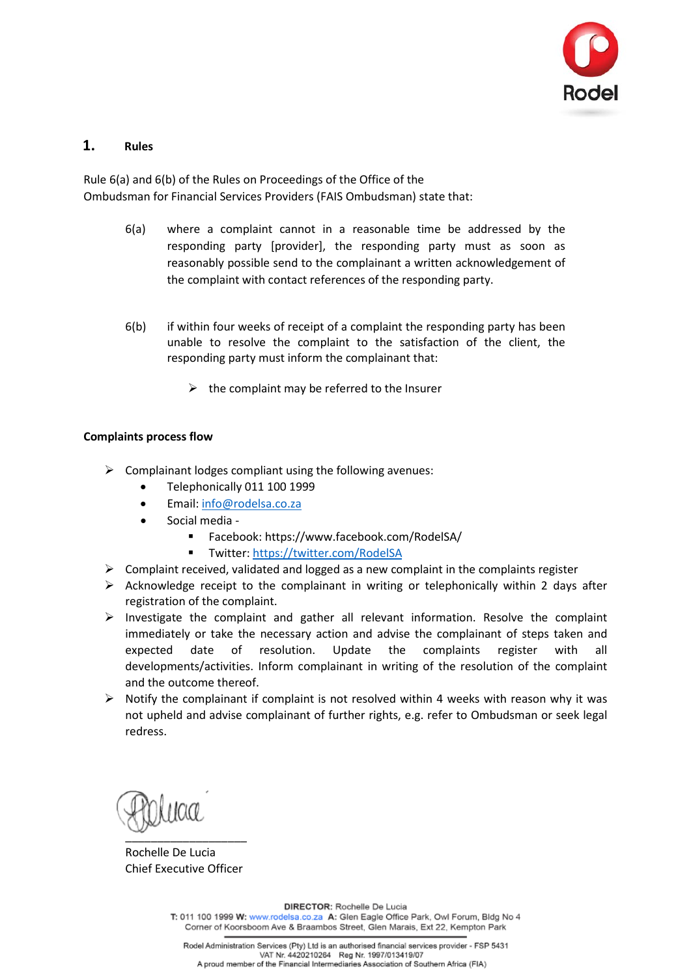

# **1. Rules**

Rule 6(a) and 6(b) of the Rules on Proceedings of the Office of the Ombudsman for Financial Services Providers (FAIS Ombudsman) state that:

- 6(a) where a complaint cannot in a reasonable time be addressed by the responding party [provider], the responding party must as soon as reasonably possible send to the complainant a written acknowledgement of the complaint with contact references of the responding party.
- 6(b) if within four weeks of receipt of a complaint the responding party has been unable to resolve the complaint to the satisfaction of the client, the responding party must inform the complainant that:
	- $\triangleright$  the complaint may be referred to the Insurer

## **Complaints process flow**

- $\triangleright$  Complainant lodges compliant using the following avenues:
	- Telephonically 011 100 1999
	- Email: [info@rodelsa.co.za](mailto:info@rodelsa.co.za)
	- Social media
		- Facebook: https://www.facebook.com/RodelSA/
		- Twitter:<https://twitter.com/RodelSA>
- $\triangleright$  Complaint received, validated and logged as a new complaint in the complaints register
- $\triangleright$  Acknowledge receipt to the complainant in writing or telephonically within 2 days after registration of the complaint.
- $\triangleright$  Investigate the complaint and gather all relevant information. Resolve the complaint immediately or take the necessary action and advise the complainant of steps taken and expected date of resolution. Update the complaints register with all developments/activities. Inform complainant in writing of the resolution of the complaint and the outcome thereof.
- $\triangleright$  Notify the complainant if complaint is not resolved within 4 weeks with reason why it was not upheld and advise complainant of further rights, e.g. refer to Ombudsman or seek legal redress.

\_\_\_\_\_\_\_\_\_\_\_\_\_\_\_\_\_\_\_

Rochelle De Lucia Chief Executive Officer

DIRECTOR: Rochelle De Lucia

T: 011 100 1999 W: www.rodelsa.co.za A: Glen Eagle Office Park, Owl Forum, Bldg No 4 Corner of Koorsboom Ave & Braambos Street, Glen Marais, Ext 22, Kempton Park

Rodel Administration Services (Pty) Ltd is an authorised financial services provider - FSP 5431 VAT Nr. 4420210264 Reg Nr. 1997/013419/07 A proud member of the Financial Intermediaries Association of Southern Africa (FIA)